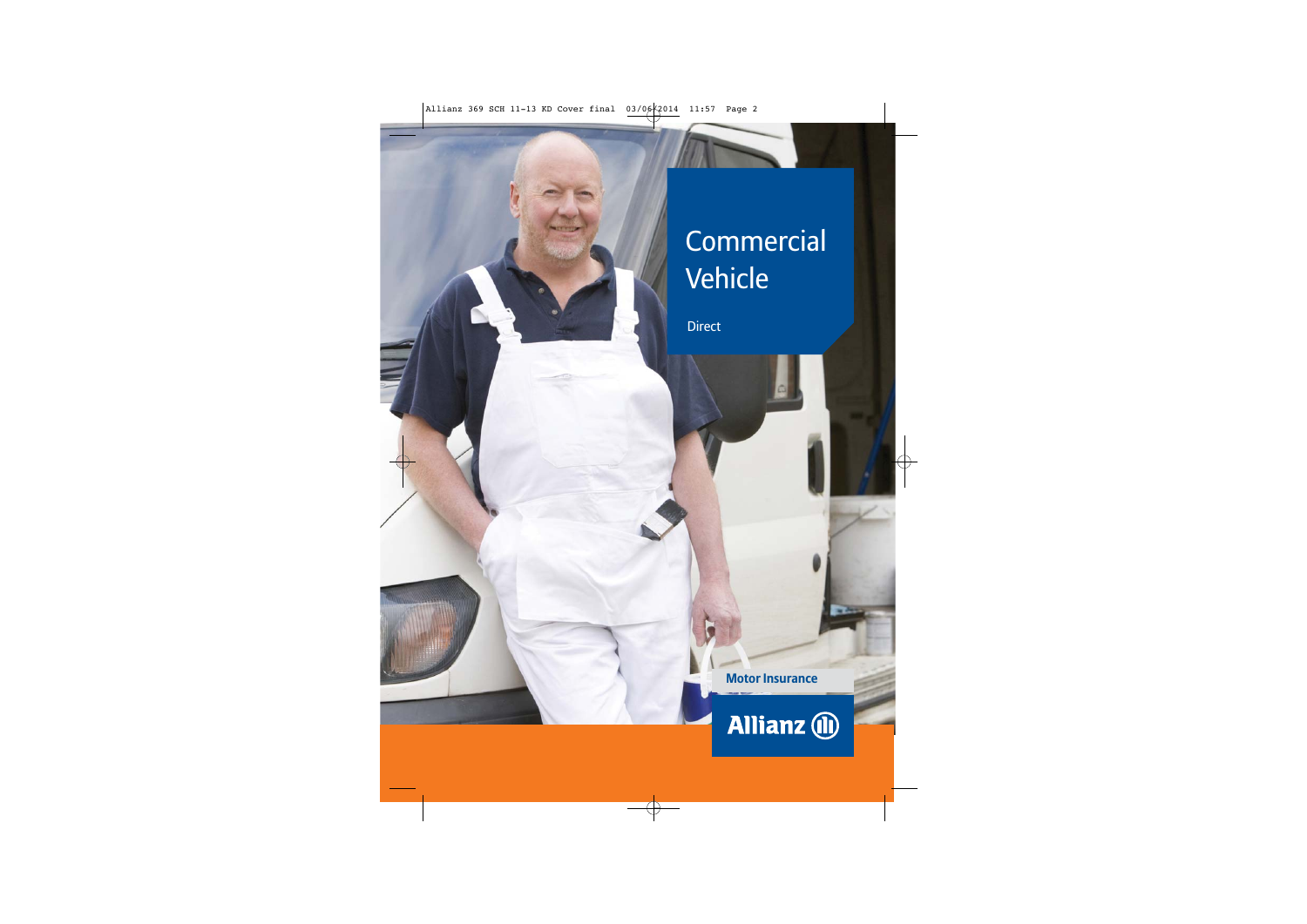# **Commercial** Vehicle

Direct

**Motor Insurance**

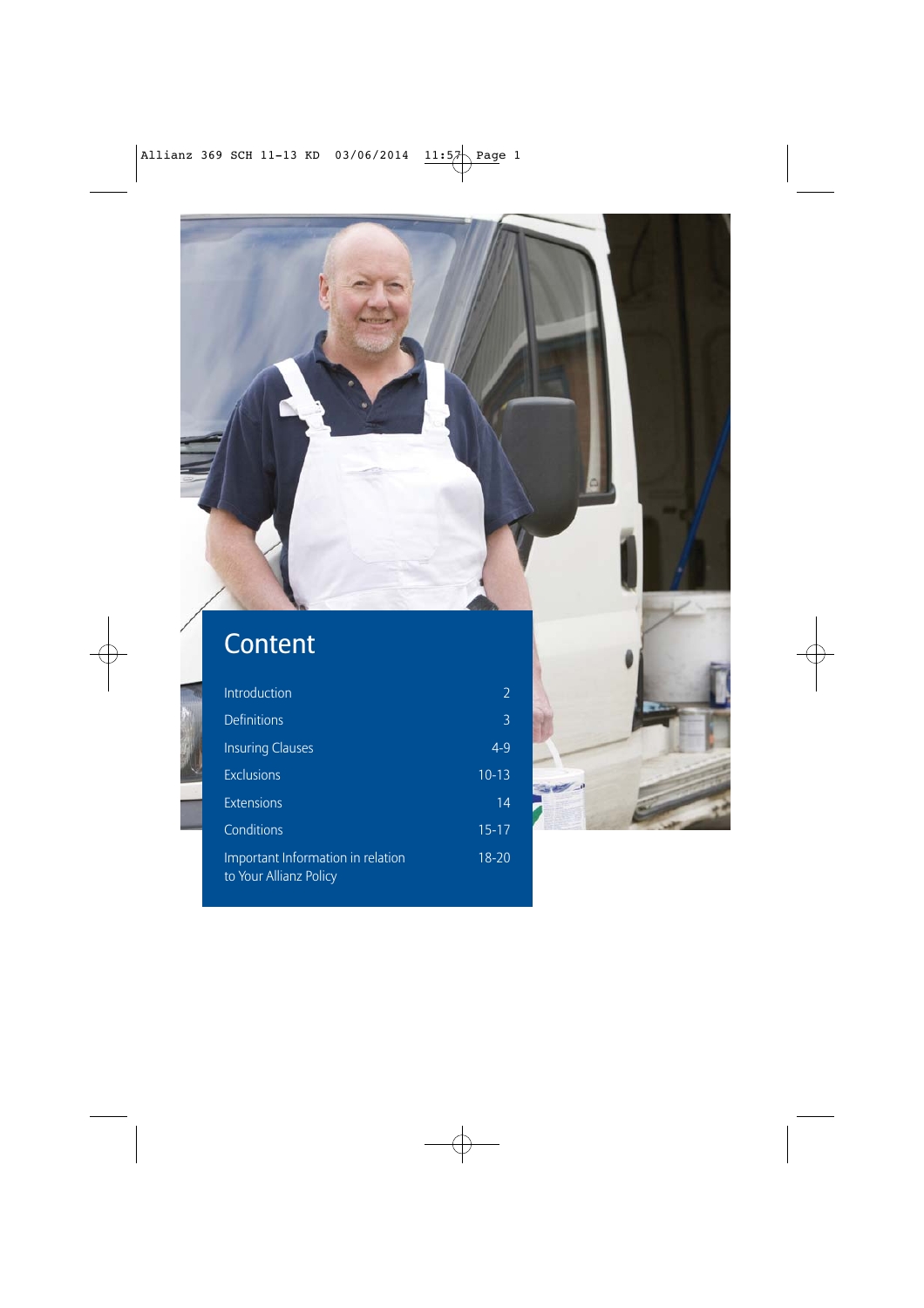### Content

4

| Introduction                                                | 2         |
|-------------------------------------------------------------|-----------|
| <b>Definitions</b>                                          | 3         |
| <b>Insuring Clauses</b>                                     | $4 - 9$   |
| <b>Exclusions</b>                                           | $10-13$   |
| Extensions                                                  | 14        |
| Conditions                                                  | $15 - 17$ |
| Important Information in relation<br>to Your Allianz Policy | $18 - 20$ |

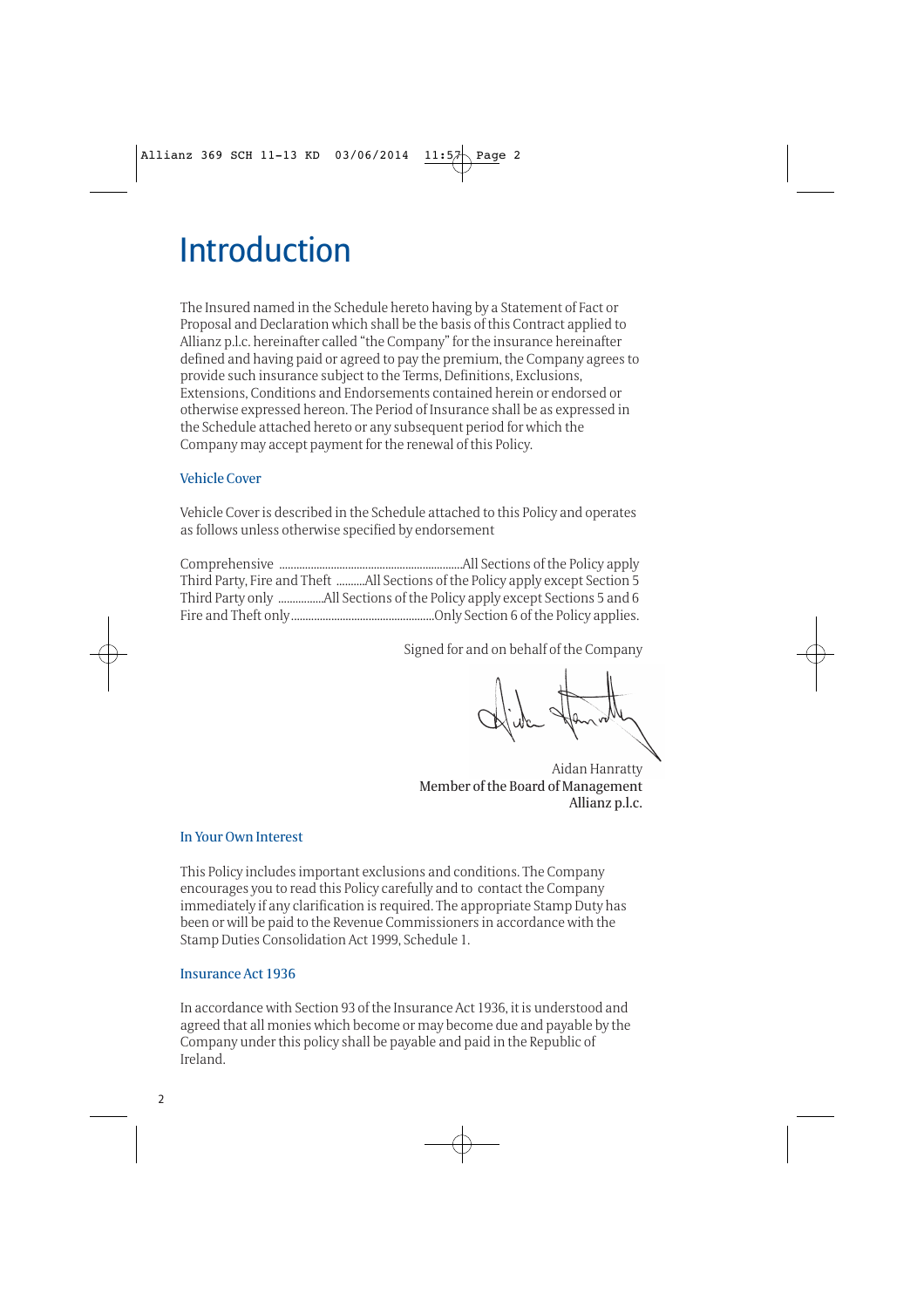# Introduction

The Insured named in the Schedule hereto having by a Statement of Fact or Proposal and Declaration which shall be the basis of this Contract applied to Allianz p.l.c. hereinafter called "the Company" for the insurance hereinafter defined and having paid or agreed to pay the premium, the Company agrees to provide such insurance subject to the Terms, Definitions, Exclusions, Extensions, Conditions and Endorsements contained herein or endorsed or otherwise expressed hereon. The Period of Insurance shall be as expressed in the Schedule attached hereto or any subsequent period for which the Company may accept payment for the renewal of this Policy.

#### Vehicle Cover

Vehicle Cover is described in the Schedule attached to this Policy and operates as follows unless otherwise specified by endorsement

Comprehensive ................................................................All Sections of the Policy apply Third Party, Fire and Theft ..........All Sections of the Policy apply except Section 5 Third Party only ................All Sections of the Policy apply except Sections 5 and 6 Fire and Theft only..................................................Only Section 6 of the Policy applies.

Signed for and on behalf of the Company

Aidan Hanratty Member of the Board of Management Allianz p.l.c.

#### In Your Own Interest

This Policy includes important exclusions and conditions. The Company encourages you to read this Policy carefully and to contact the Company immediately if any clarification is required. The appropriate Stamp Duty has been or will be paid to the Revenue Commissioners in accordance with the Stamp Duties Consolidation Act 1999, Schedule 1.

#### Insurance Act 1936

In accordance with Section 93 of the Insurance Act 1936, it is understood and agreed that all monies which become or may become due and payable by the Company under this policy shall be payable and paid in the Republic of Ireland.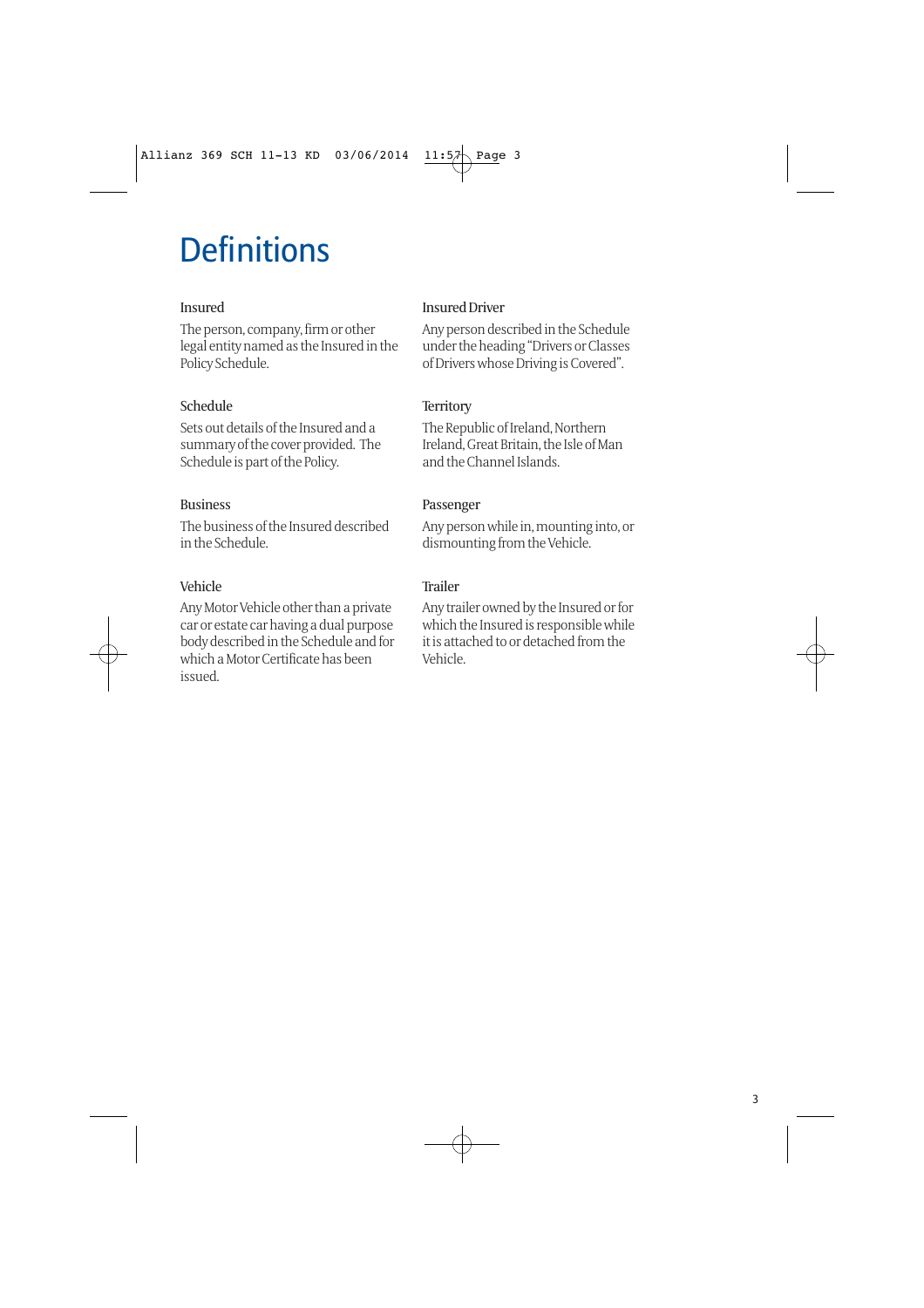# **Definitions**

#### Insured

The person, company, firm or other legal entity named as the Insured in the Policy Schedule.

### Schedule

Sets out details of the Insured and a summary of the cover provided. The Schedule is part of the Policy.

#### Business

The business of the Insured described in the Schedule.

### Vehicle

Any Motor Vehicle other than a private car or estate car having a dual purpose body described in the Schedule and for which a Motor Certificate has been issued.

#### Insured Driver

Any person described in the Schedule under the heading "Drivers or Classes of Drivers whose Driving is Covered".

### **Territory**

The Republic of Ireland, Northern Ireland, Great Britain, the Isle of Man and the Channel Islands.

#### Passenger

Any person while in, mounting into, or dismounting from the Vehicle.

### Trailer

Any trailer owned by the Insured or for which the Insured is responsible while it is attached to or detached from the Vehicle.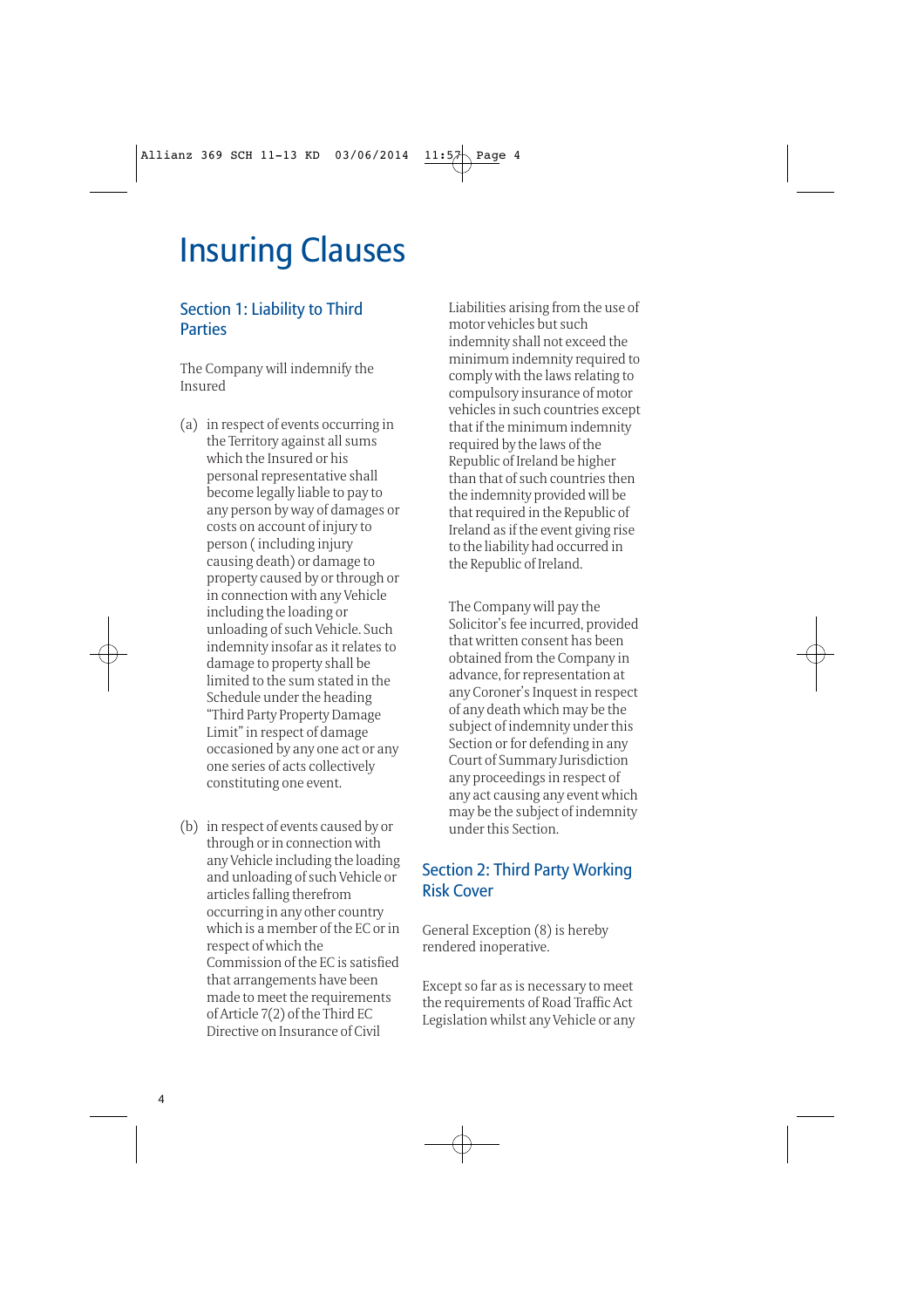# Insuring Clauses

### Section 1: Liability to Third **Parties**

The Company will indemnify the Insured

- (a) in respect of events occurring in the Territory against all sums which the Insured or his personal representative shall become legally liable to pay to any person by way of damages or costs on account of injury to person ( including injury causing death) or damage to property caused by or through or in connection with any Vehicle including the loading or unloading of such Vehicle. Such indemnity insofar as it relates to damage to property shall be limited to the sum stated in the Schedule under the heading "Third Party Property Damage Limit" in respect of damage occasioned by any one act or any one series of acts collectively constituting one event.
- (b) in respect of events caused by or through or in connection with any Vehicle including the loading and unloading of such Vehicle or articles falling therefrom occurring in any other country which is a member of the EC or in respect of which the Commission of the EC is satisfied that arrangements have been made to meet the requirements of Article 7(2) of the Third EC Directive on Insurance of Civil

Liabilities arising from the use of motor vehicles but such indemnity shall not exceed the minimum indemnity required to comply with the laws relating to compulsory insurance of motor vehicles in such countries except that if the minimum indemnity required by the laws of the Republic of Ireland be higher than that of such countries then the indemnity provided will be that required in the Republic of Ireland as if the event giving rise to the liability had occurred in the Republic of Ireland.

The Company will pay the Solicitor's fee incurred, provided that written consent has been obtained from the Company in advance, for representation at any Coroner's Inquest in respect of any death which may be the subject of indemnity under this Section or for defending in any Court of Summary Jurisdiction any proceedings in respect of any act causing any event which may be the subject of indemnity under this Section.

### Section 2: Third Party Working Risk Cover

General Exception (8) is hereby rendered inoperative.

Except so far as is necessary to meet the requirements of Road Traffic Act Legislation whilst any Vehicle or any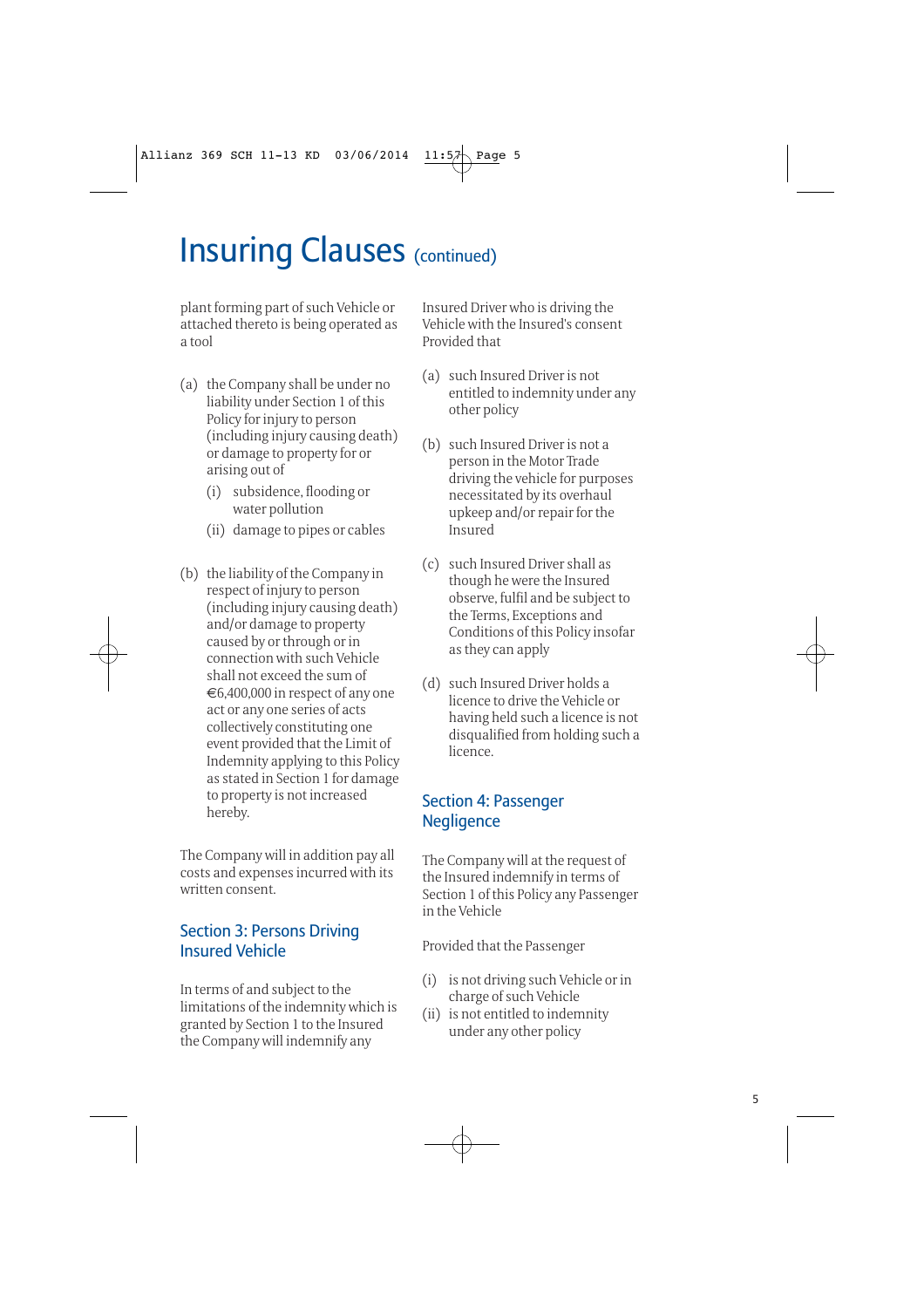plant forming part of such Vehicle or attached thereto is being operated as a tool

- (a) the Company shall be under no liability under Section 1 of this Policy for injury to person (including injury causing death) or damage to property for or arising out of
	- (i) subsidence, flooding or water pollution
	- (ii) damage to pipes or cables
- (b) the liability of the Company in respect of injury to person (including injury causing death) and/or damage to property caused by or through or in connection with such Vehicle shall not exceed the sum of €6,400,000 in respect of any one act or any one series of acts collectively constituting one event provided that the Limit of Indemnity applying to this Policy as stated in Section 1 for damage to property is not increased hereby.

The Company will in addition pay all costs and expenses incurred with its written consent.

### Section 3: Persons Driving Insured Vehicle

In terms of and subject to the limitations of the indemnity which is granted by Section 1 to the Insured the Company will indemnify any

Insured Driver who is driving the Vehicle with the Insured's consent Provided that

- (a) such Insured Driver is not entitled to indemnity under any other policy
- (b) such Insured Driver is not a person in the Motor Trade driving the vehicle for purposes necessitated by its overhaul upkeep and/or repair for the Insured
- (c) such Insured Driver shall as though he were the Insured observe, fulfil and be subject to the Terms, Exceptions and Conditions of this Policy insofar as they can apply
- (d) such Insured Driver holds a licence to drive the Vehicle or having held such a licence is not disqualified from holding such a licence.

### Section 4: Passenger **Negligence**

The Company will at the request of the Insured indemnify in terms of Section 1 of this Policy any Passenger in the Vehicle

Provided that the Passenger

- (i) is not driving such Vehicle or in charge of such Vehicle
- (ii) is not entitled to indemnity under any other policy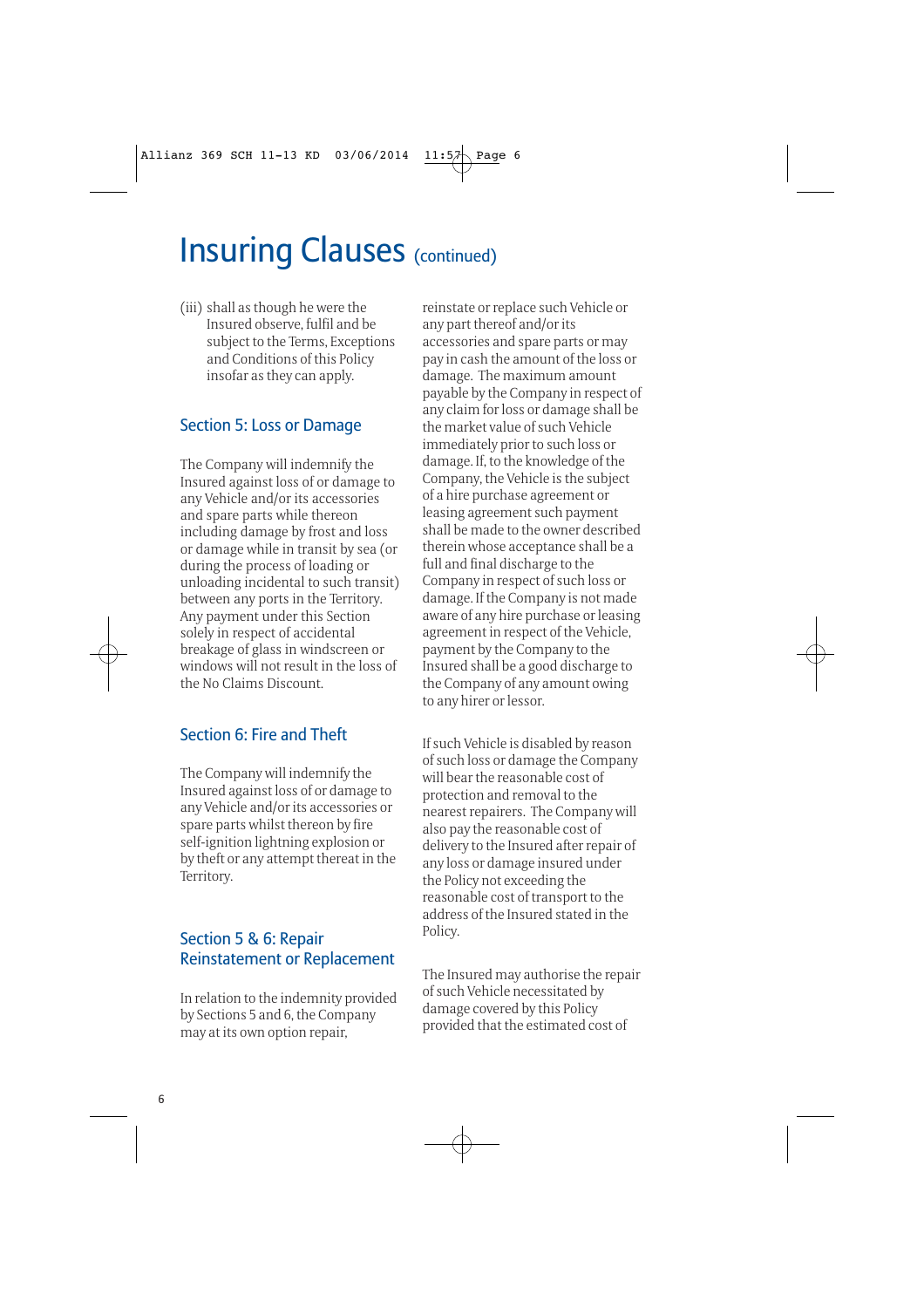(iii) shall as though he were the Insured observe, fulfil and be subject to the Terms, Exceptions and Conditions of this Policy insofar as they can apply.

### Section 5: Loss or Damage

The Company will indemnify the Insured against loss of or damage to any Vehicle and/or its accessories and spare parts while thereon including damage by frost and loss or damage while in transit by sea (or during the process of loading or unloading incidental to such transit) between any ports in the Territory. Any payment under this Section solely in respect of accidental breakage of glass in windscreen or windows will not result in the loss of the No Claims Discount.

### Section 6: Fire and Theft

The Company will indemnify the Insured against loss of or damage to any Vehicle and/or its accessories or spare parts whilst thereon by fire self-ignition lightning explosion or by theft or any attempt thereat in the Territory.

### Section 5 & 6: Repair Reinstatement or Replacement

In relation to the indemnity provided by Sections 5 and 6, the Company may at its own option repair,

reinstate or replace such Vehicle or any part thereof and/or its accessories and spare parts or may pay in cash the amount of the loss or damage. The maximum amount payable by the Company in respect of any claim for loss or damage shall be the market value of such Vehicle immediately prior to such loss or damage. If, to the knowledge of the Company, the Vehicle is the subject of a hire purchase agreement or leasing agreement such payment shall be made to the owner described therein whose acceptance shall be a full and final discharge to the Company in respect of such loss or damage. If the Company is not made aware of any hire purchase or leasing agreement in respect of the Vehicle, payment by the Company to the Insured shall be a good discharge to the Company of any amount owing to any hirer or lessor.

If such Vehicle is disabled by reason of such loss or damage the Company will bear the reasonable cost of protection and removal to the nearest repairers. The Company will also pay the reasonable cost of delivery to the Insured after repair of any loss or damage insured under the Policy not exceeding the reasonable cost of transport to the address of the Insured stated in the Policy.

The Insured may authorise the repair of such Vehicle necessitated by damage covered by this Policy provided that the estimated cost of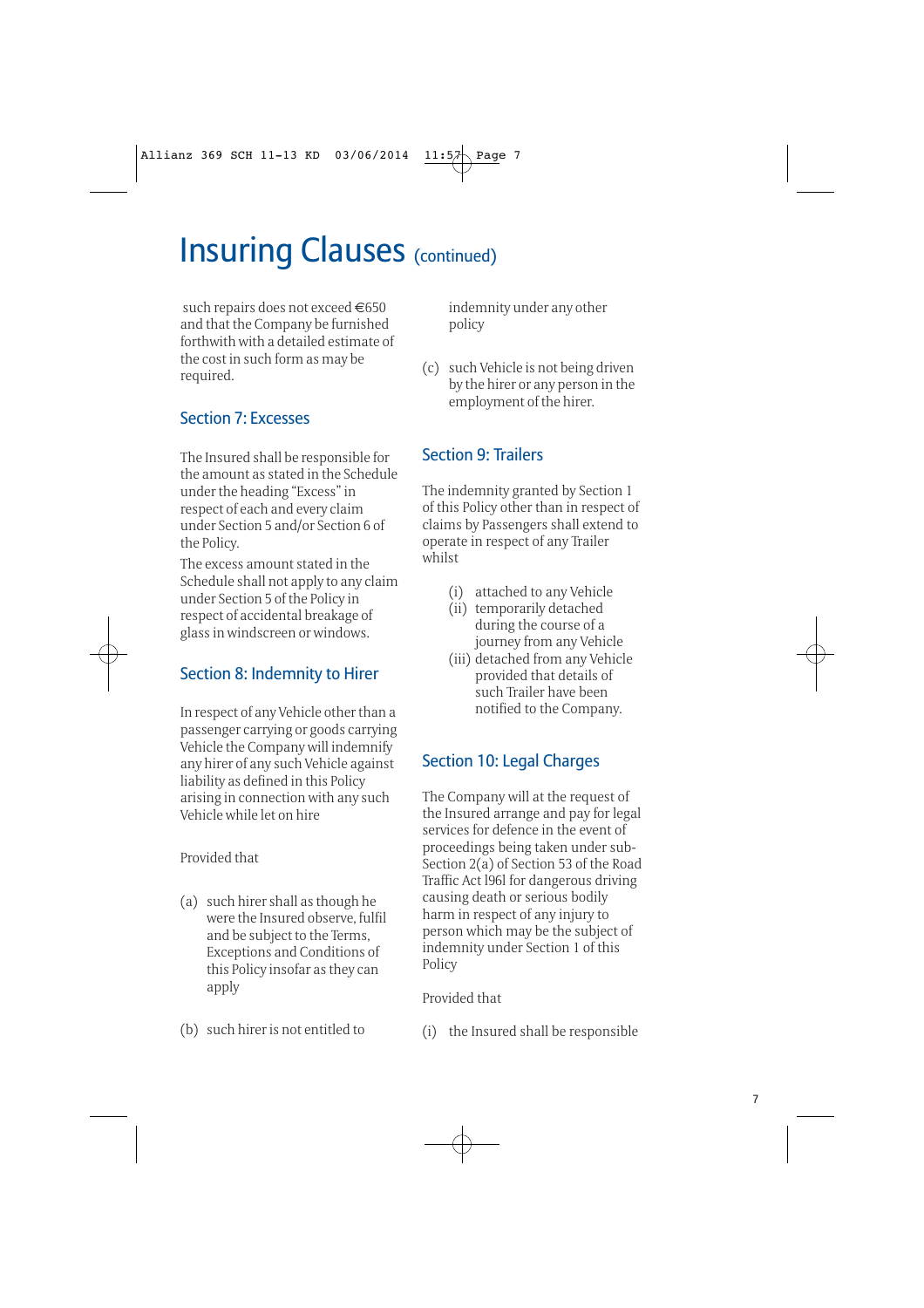such repairs does not exceed €650 and that the Company be furnished forthwith with a detailed estimate of the cost in such form as may be required.

### Section 7: Excesses

The Insured shall be responsible for the amount as stated in the Schedule under the heading "Excess" in respect of each and every claim under Section 5 and/or Section 6 of the Policy.

The excess amount stated in the Schedule shall not apply to any claim under Section 5 of the Policy in respect of accidental breakage of glass in windscreen or windows.

### Section 8: Indemnity to Hirer

In respect of any Vehicle other than a passenger carrying or goods carrying Vehicle the Company will indemnify any hirer of any such Vehicle against liability as defined in this Policy arising in connection with any such Vehicle while let on hire

Provided that

- (a) such hirer shall as though he were the Insured observe, fulfil and be subject to the Terms, Exceptions and Conditions of this Policy insofar as they can apply
- (b) such hirer is not entitled to

indemnity under any other policy

(c) such Vehicle is not being driven by the hirer or any person in the employment of the hirer.

### Section 9: Trailers

The indemnity granted by Section 1 of this Policy other than in respect of claims by Passengers shall extend to operate in respect of any Trailer whilst

- (i) attached to any Vehicle
- (ii) temporarily detached during the course of a journey from any Vehicle
- (iii) detached from any Vehicle provided that details of such Trailer have been notified to the Company.

### Section 10: Legal Charges

The Company will at the request of the Insured arrange and pay for legal services for defence in the event of proceedings being taken under sub-Section 2(a) of Section 53 of the Road Traffic Act l96l for dangerous driving causing death or serious bodily harm in respect of any injury to person which may be the subject of indemnity under Section 1 of this Policy

Provided that

(i) the Insured shall be responsible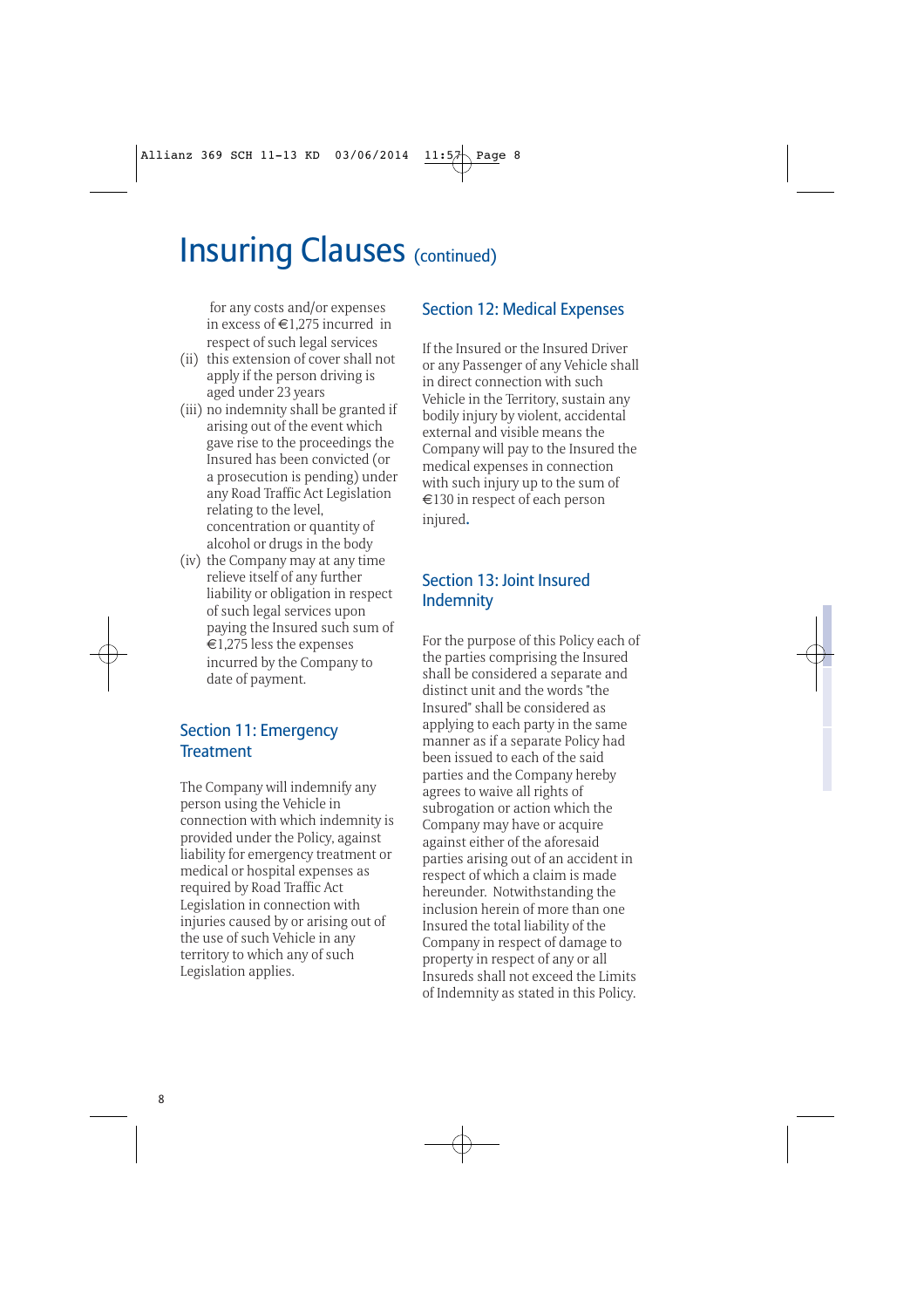for any costs and/or expenses in excess of €1,275 incurred in respect of such legal services

- (ii) this extension of cover shall not apply if the person driving is aged under 23 years
- (iii) no indemnity shall be granted if arising out of the event which gave rise to the proceedings the Insured has been convicted (or a prosecution is pending) under any Road Traffic Act Legislation relating to the level, concentration or quantity of alcohol or drugs in the body
- (iv) the Company may at any time relieve itself of any further liability or obligation in respect of such legal services upon paying the Insured such sum of  $\epsilon$ 1,275 less the expenses incurred by the Company to date of payment.

### Section 11: Emergency **Treatment**

The Company will indemnify any person using the Vehicle in connection with which indemnity is provided under the Policy, against liability for emergency treatment or medical or hospital expenses as required by Road Traffic Act Legislation in connection with injuries caused by or arising out of the use of such Vehicle in any territory to which any of such Legislation applies.

### Section 12: Medical Expenses

If the Insured or the Insured Driver or any Passenger of any Vehicle shall in direct connection with such Vehicle in the Territory, sustain any bodily injury by violent, accidental external and visible means the Company will pay to the Insured the medical expenses in connection with such injury up to the sum of €130 in respect of each person injured.

### Section 13: Joint Insured Indemnity

For the purpose of this Policy each of the parties comprising the Insured shall be considered a separate and distinct unit and the words "the Insured" shall be considered as applying to each party in the same manner as if a separate Policy had been issued to each of the said parties and the Company hereby agrees to waive all rights of subrogation or action which the Company may have or acquire against either of the aforesaid parties arising out of an accident in respect of which a claim is made hereunder. Notwithstanding the inclusion herein of more than one Insured the total liability of the Company in respect of damage to property in respect of any or all Insureds shall not exceed the Limits of Indemnity as stated in this Policy.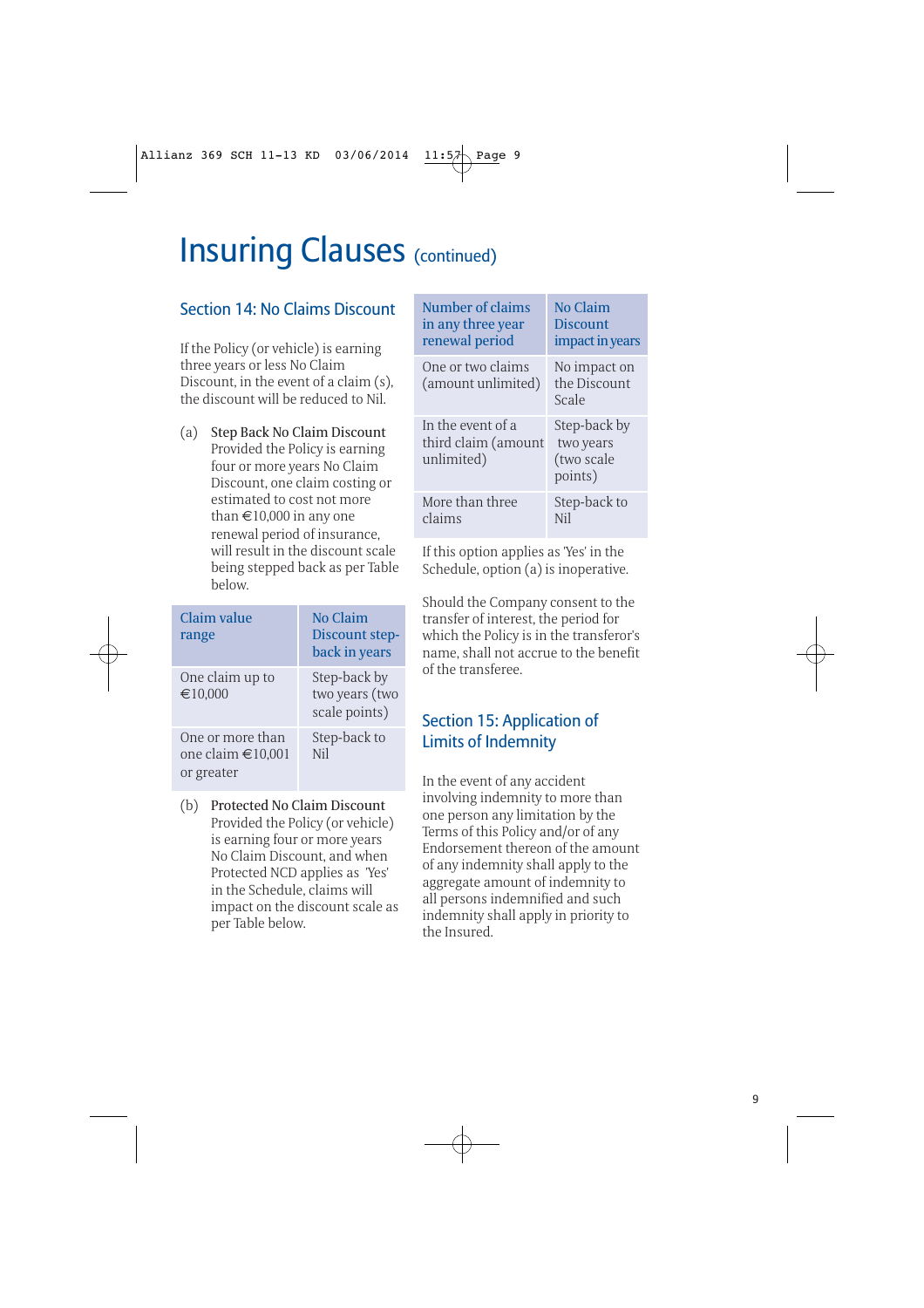| <b>Section 14: No Claims Discount</b><br>If the Policy (or vehicle) is earning                                                                                                                                                                                                                                            | Number of claims<br>in any three year<br>renewal period                        | <b>No Claim</b><br><b>Discount</b><br>impact in year. |
|---------------------------------------------------------------------------------------------------------------------------------------------------------------------------------------------------------------------------------------------------------------------------------------------------------------------------|--------------------------------------------------------------------------------|-------------------------------------------------------|
| three years or less No Claim<br>Discount, in the event of a claim (s),<br>the discount will be reduced to Nil.                                                                                                                                                                                                            | One or two claims<br>(amount unlimited)                                        | No impact on<br>the Discount<br>Scale                 |
| (a)<br>Step Back No Claim Discount<br>Provided the Policy is earning<br>four or more years No Claim<br>Discount, one claim costing or<br>estimated to cost not more<br>than $\text{£}10,000$ in any one<br>renewal period of insurance,<br>will result in the discount scale<br>being stepped back as per Table<br>below. | In the event of a<br>third claim (amount<br>unlimited)                         | Step-back by<br>two years<br>(two scale<br>points)    |
|                                                                                                                                                                                                                                                                                                                           | More than three<br>claims                                                      | Step-back to<br><b>Nil</b>                            |
|                                                                                                                                                                                                                                                                                                                           | If this option applies as 'Yes' in the<br>Schedule, option (a) is inoperative. |                                                       |
|                                                                                                                                                                                                                                                                                                                           |                                                                                |                                                       |

| Claim value<br>range                                | No Claim<br>Discount step-<br>back in years     |
|-----------------------------------------------------|-------------------------------------------------|
| One claim up to<br>€10,000                          | Step-back by<br>two years (two<br>scale points) |
| One or more than<br>one claim €10,001<br>or greater | Step-back to<br>Nil                             |

(b) Protected No Claim Discount Provided the Policy (or vehicle) is earning four or more years No Claim Discount, and when Protected NCD applies as 'Yes' in the Schedule, claims will impact on the discount scale as per Table below.

perative. Should the Company consent to the transfer of interest, the period for which the Policy is in the transferor's name, shall not accrue to the benefit of the transferee.

act in years

### Section 15: Application of Limits of Indemnity

In the event of any accident involving indemnity to more than one person any limitation by the Terms of this Policy and/or of any Endorsement thereon of the amount of any indemnity shall apply to the aggregate amount of indemnity to all persons indemnified and such indemnity shall apply in priority to the Insured.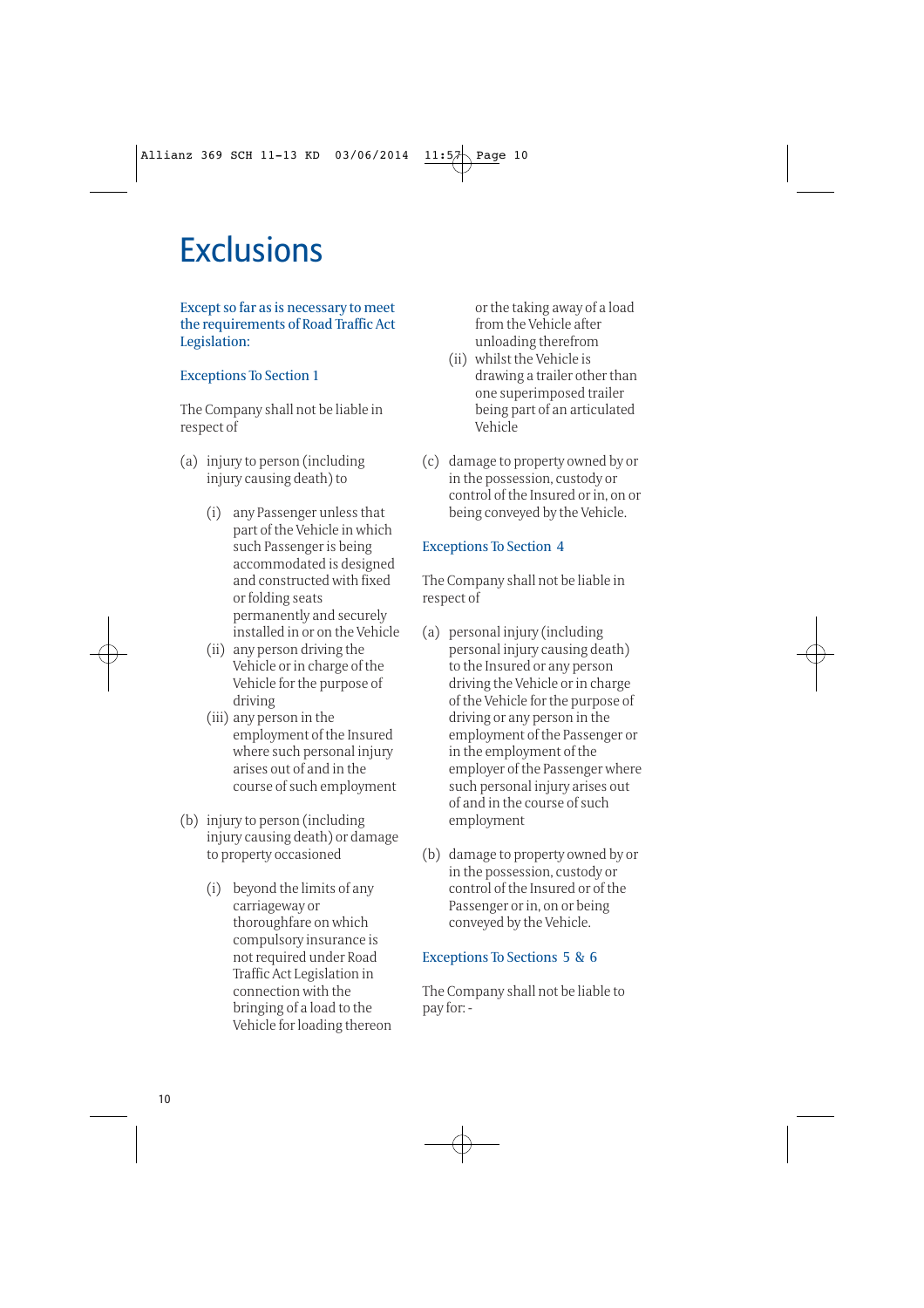# **Exclusions**

#### Except so far as is necessary to meet the requirements of Road Traffic Act Legislation:

#### Exceptions To Section 1

The Company shall not be liable in respect of

- (a) injury to person (including injury causing death) to
	- (i) any Passenger unless that part of the Vehicle in which such Passenger is being accommodated is designed and constructed with fixed or folding seats permanently and securely installed in or on the Vehicle
	- (ii) any person driving the Vehicle or in charge of the Vehicle for the purpose of driving
	- (iii) any person in the employment of the Insured where such personal injury arises out of and in the course of such employment
- (b) injury to person (including injury causing death) or damage to property occasioned
	- (i) beyond the limits of any carriageway or thoroughfare on which compulsory insurance is not required under Road Traffic Act Legislation in connection with the bringing of a load to the Vehicle for loading thereon

or the taking away of a load from the Vehicle after unloading therefrom

- (ii) whilst the Vehicle is drawing a trailer other than one superimposed trailer being part of an articulated Vehicle
- (c) damage to property owned by or in the possession, custody or control of the Insured or in, on or being conveyed by the Vehicle.

### Exceptions To Section 4

The Company shall not be liable in respect of

- (a) personal injury (including personal injury causing death) to the Insured or any person driving the Vehicle or in charge of the Vehicle for the purpose of driving or any person in the employment of the Passenger or in the employment of the employer of the Passenger where such personal injury arises out of and in the course of such employment
- (b) damage to property owned by or in the possession, custody or control of the Insured or of the Passenger or in, on or being conveyed by the Vehicle.

### Exceptions To Sections 5 & 6

The Company shall not be liable to pay for: -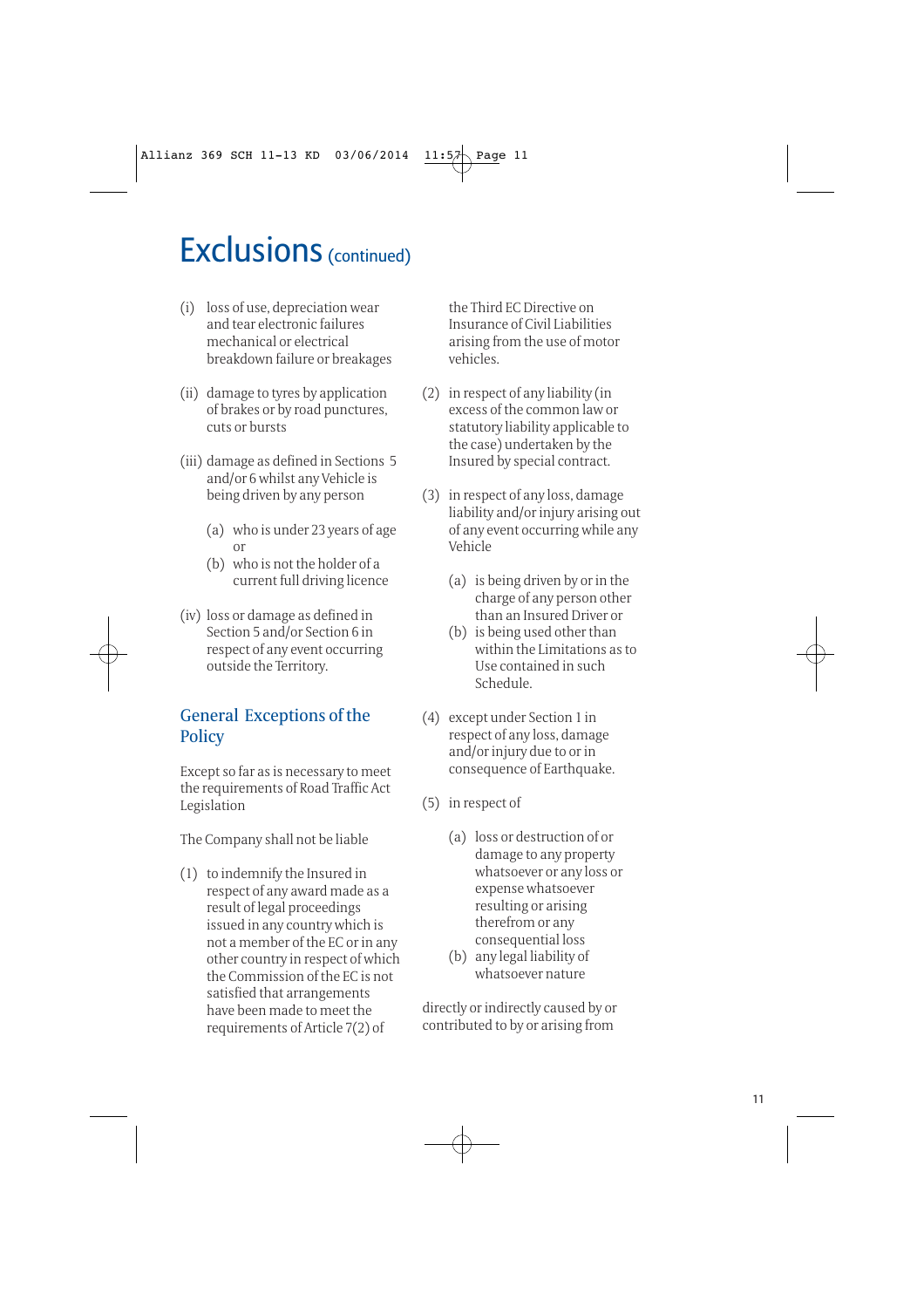# **Exclusions** (continued)

- (i) loss of use, depreciation wear and tear electronic failures mechanical or electrical breakdown failure or breakages
- (ii) damage to tyres by application of brakes or by road punctures, cuts or bursts
- (iii) damage as defined in Sections 5 and/or 6 whilst any Vehicle is being driven by any person
	- (a) who is under 23 years of age or
	- (b) who is not the holder of a current full driving licence
- (iv) loss or damage as defined in Section 5 and/or Section 6 in respect of any event occurring outside the Territory.

### General Exceptions of the **Policy**

Except so far as is necessary to meet the requirements of Road Traffic Act Legislation

The Company shall not be liable

(1) to indemnify the Insured in respect of any award made as a result of legal proceedings issued in any country which is not a member of the EC or in any other country in respect of which the Commission of the EC is not satisfied that arrangements have been made to meet the requirements of Article 7(2) of

the Third EC Directive on Insurance of Civil Liabilities arising from the use of motor vehicles.

- (2) in respect of any liability (in excess of the common law or statutory liability applicable to the case) undertaken by the Insured by special contract.
- (3) in respect of any loss, damage liability and/or injury arising out of any event occurring while any Vehicle
	- (a) is being driven by or in the charge of any person other than an Insured Driver or
	- (b) is being used other than within the Limitations as to Use contained in such Schedule.
- (4) except under Section 1 in respect of any loss, damage and/or injury due to or in consequence of Earthquake.
- (5) in respect of
	- (a) loss or destruction of or damage to any property whatsoever or any loss or expense whatsoever resulting or arising therefrom or any consequential loss
	- (b) any legal liability of whatsoever nature

directly or indirectly caused by or contributed to by or arising from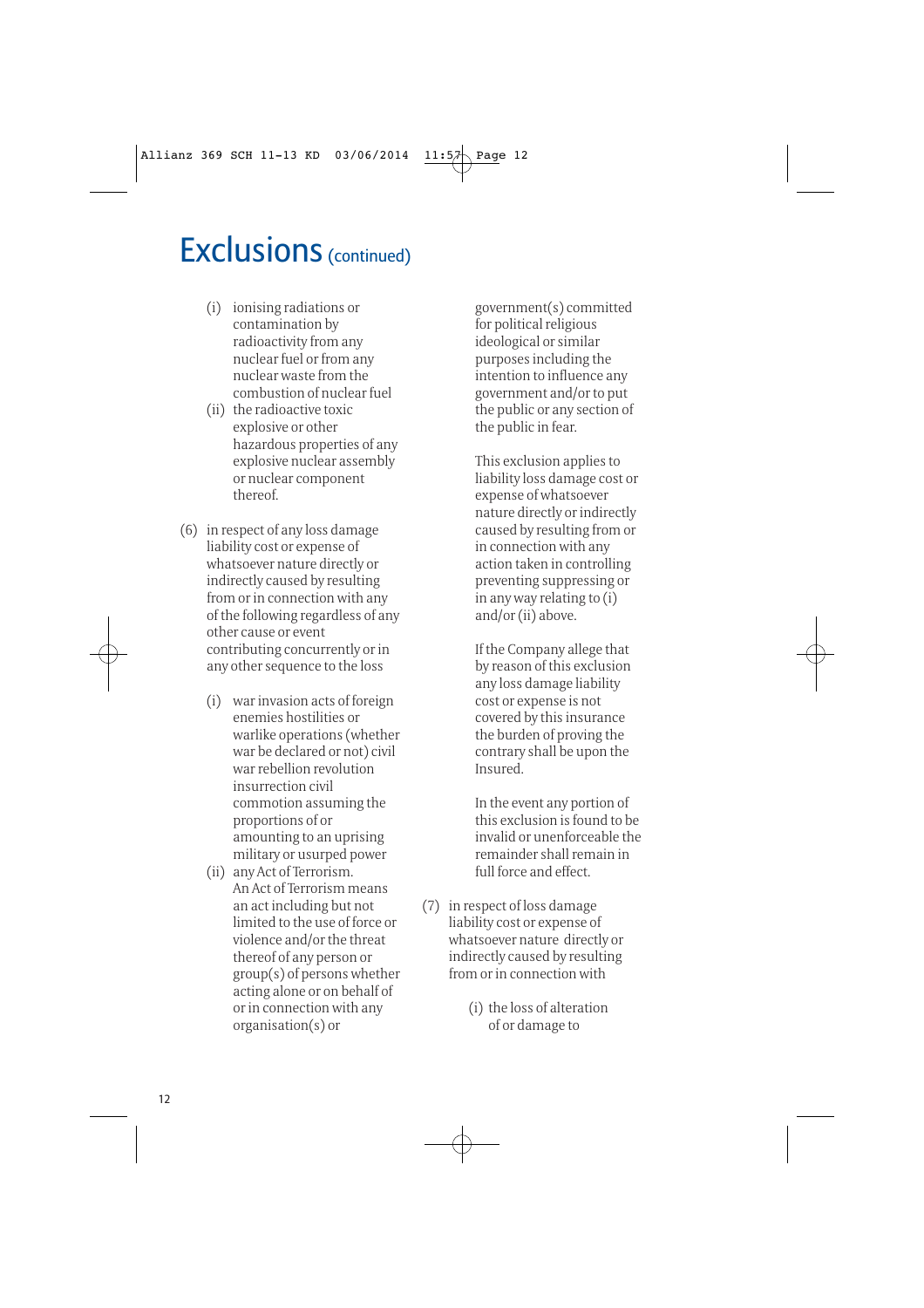### **Exclusions** (continued)

- (i) ionising radiations or contamination by radioactivity from any nuclear fuel or from any nuclear waste from the combustion of nuclear fuel
- (ii) the radioactive toxic explosive or other hazardous properties of any explosive nuclear assembly or nuclear component thereof.
- (6) in respect of any loss damage liability cost or expense of whatsoever nature directly or indirectly caused by resulting from or in connection with any of the following regardless of any other cause or event contributing concurrently or in any other sequence to the loss
	- (i) war invasion acts of foreign enemies hostilities or warlike operations (whether war be declared or not) civil war rebellion revolution insurrection civil commotion assuming the proportions of or amounting to an uprising military or usurped power
	- (ii) any Act of Terrorism. An Act of Terrorism means an act including but not limited to the use of force or violence and/or the threat thereof of any person or group(s) of persons whether acting alone or on behalf of or in connection with any organisation(s) or

government(s) committed for political religious ideological or similar purposes including the intention to influence any government and/or to put the public or any section of the public in fear.

This exclusion applies to liability loss damage cost or expense of whatsoever nature directly or indirectly caused by resulting from or in connection with any action taken in controlling preventing suppressing or in any way relating to (i) and/or (ii) above.

If the Company allege that by reason of this exclusion any loss damage liability cost or expense is not covered by this insurance the burden of proving the contrary shall be upon the Insured.

In the event any portion of this exclusion is found to be invalid or unenforceable the remainder shall remain in full force and effect.

- (7) in respect of loss damage liability cost or expense of whatsoever nature directly or indirectly caused by resulting from or in connection with
	- (i) the loss of alteration of or damage to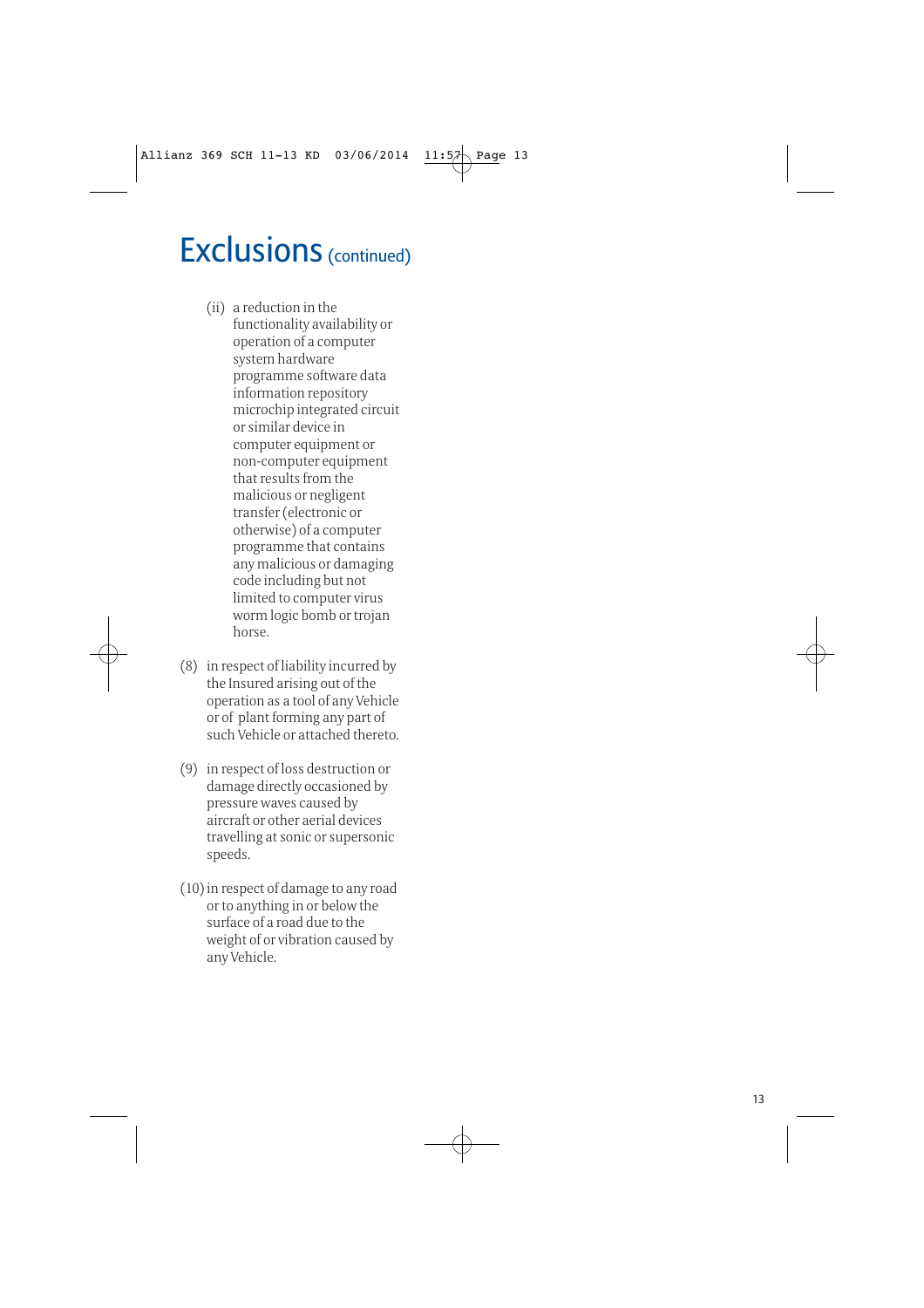# **Exclusions** (continued)

- (ii) a reduction in the functionality availability or operation of a computer system hardware programme software data information repository microchip integrated circuit or similar device in computer equipment or non-computer equipment that results from the malicious or negligent transfer (electronic or otherwise) of a computer programme that contains any malicious or damaging code including but not limited to computer virus worm logic bomb or trojan horse.
- (8) in respect of liability incurred by the Insured arising out of the operation as a tool of any Vehicle or of plant forming any part of such Vehicle or attached thereto.
- (9) in respect of loss destruction or damage directly occasioned by pressure waves caused by aircraft or other aerial devices travelling at sonic or supersonic speeds.
- (10) in respect of damage to any road or to anything in or below the surface of a road due to the weight of or vibration caused by any Vehicle.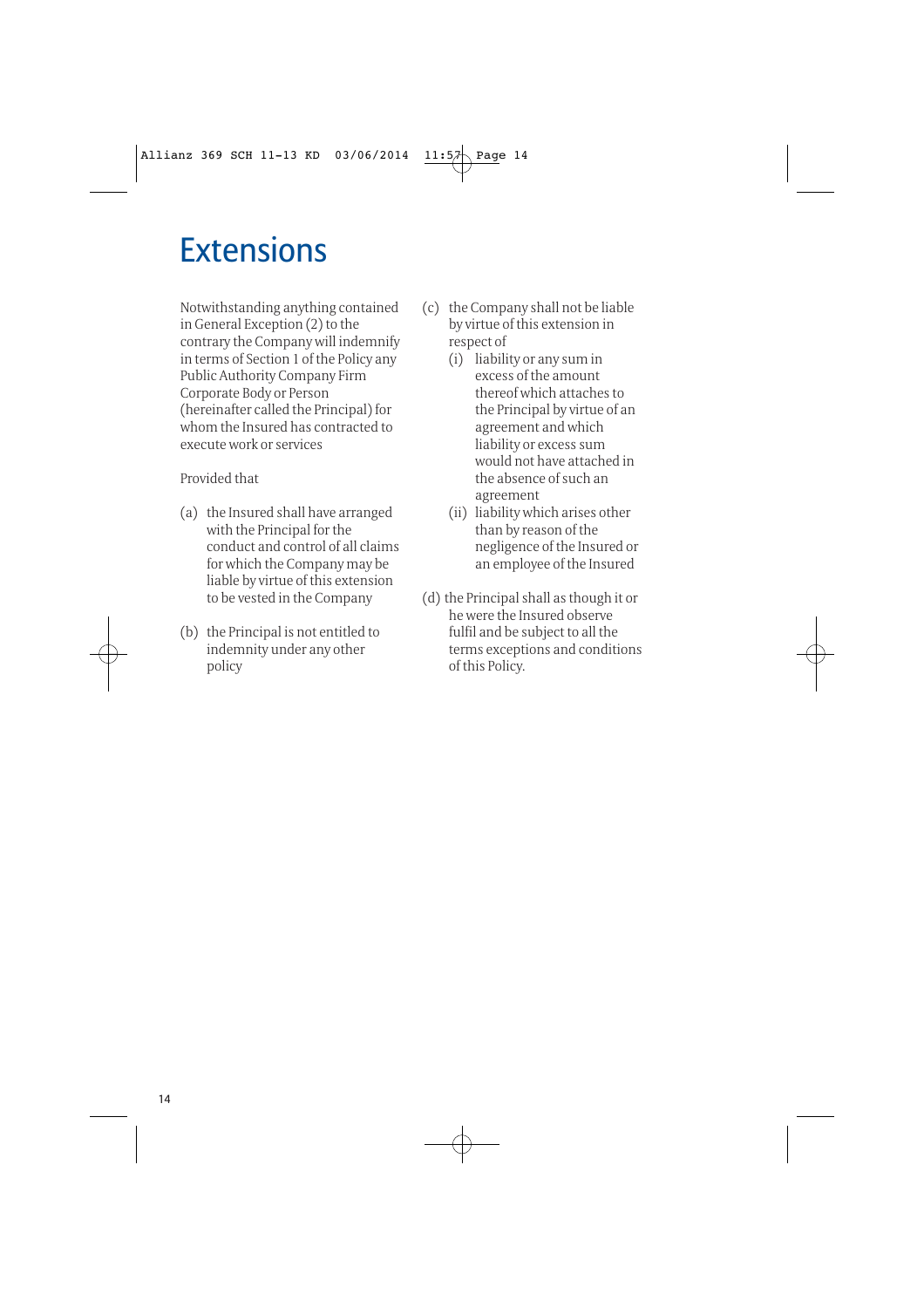# **Extensions**

Notwithstanding anything contained in General Exception (2) to the contrary the Company will indemnify in terms of Section 1 of the Policy any Public Authority Company Firm Corporate Body or Person (hereinafter called the Principal) for whom the Insured has contracted to execute work or services

Provided that

- (a) the Insured shall have arranged with the Principal for the conduct and control of all claims for which the Company may be liable by virtue of this extension to be vested in the Company
- (b) the Principal is not entitled to indemnity under any other policy
- (c) the Company shall not be liable by virtue of this extension in respect of
	- (i) liability or any sum in excess of the amount thereof which attaches to the Principal by virtue of an agreement and which liability or excess sum would not have attached in the absence of such an agreement
	- (ii) liability which arises other than by reason of the negligence of the Insured or an employee of the Insured
- (d) the Principal shall as though it or he were the Insured observe fulfil and be subject to all the terms exceptions and conditions of this Policy.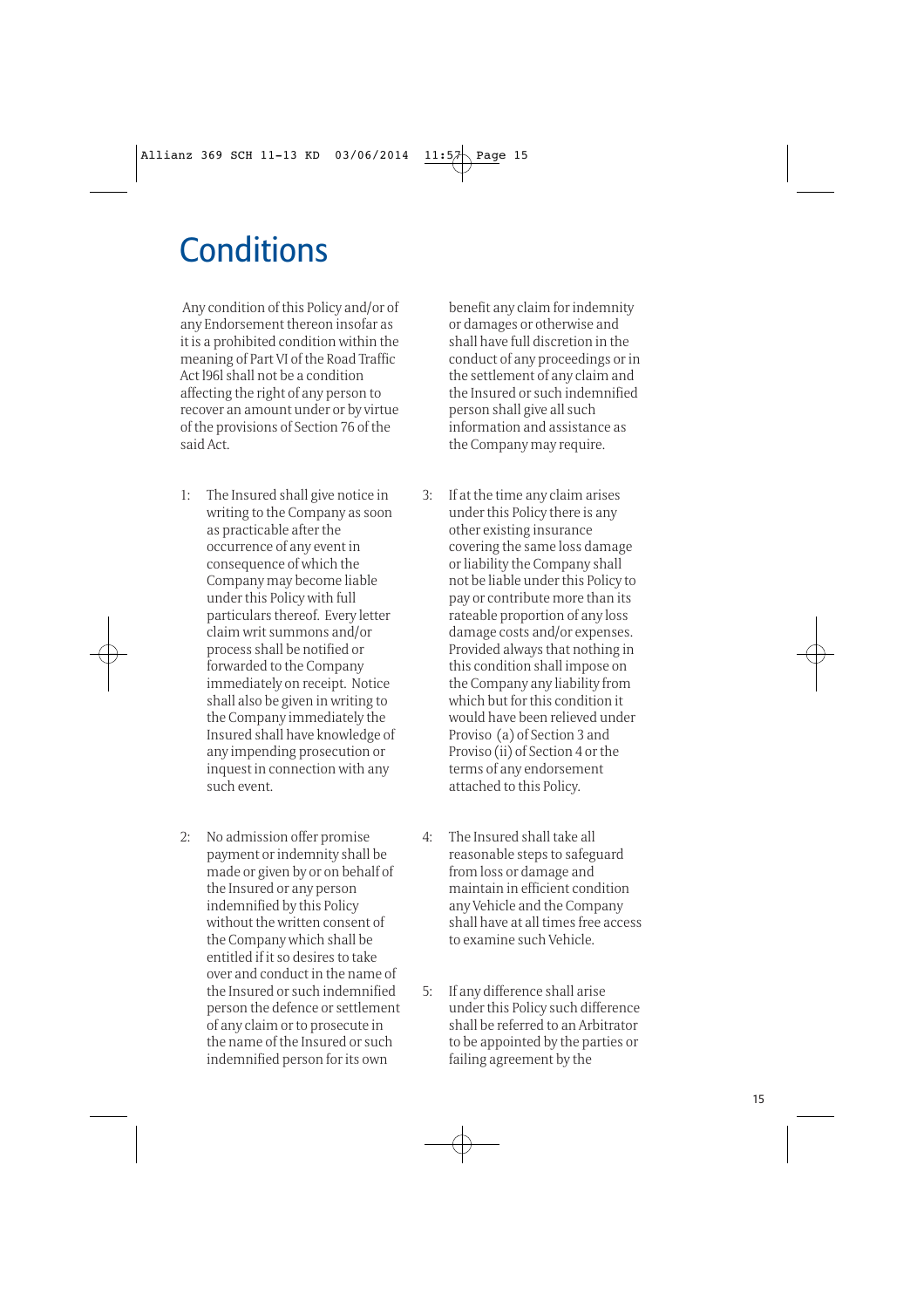# **Conditions**

Any condition of this Policy and/or of any Endorsement thereon insofar as it is a prohibited condition within the meaning of Part VI of the Road Traffic Act l96l shall not be a condition affecting the right of any person to recover an amount under or by virtue of the provisions of Section 76 of the said Act.

- 1: The Insured shall give notice in writing to the Company as soon as practicable after the occurrence of any event in consequence of which the Company may become liable under this Policy with full particulars thereof. Every letter claim writ summons and/or process shall be notified or forwarded to the Company immediately on receipt. Notice shall also be given in writing to the Company immediately the Insured shall have knowledge of any impending prosecution or inquest in connection with any such event.
- 2: No admission offer promise payment or indemnity shall be made or given by or on behalf of the Insured or any person indemnified by this Policy without the written consent of the Company which shall be entitled if it so desires to take over and conduct in the name of the Insured or such indemnified person the defence or settlement of any claim or to prosecute in the name of the Insured or such indemnified person for its own

benefit any claim for indemnity or damages or otherwise and shall have full discretion in the conduct of any proceedings or in the settlement of any claim and the Insured or such indemnified person shall give all such information and assistance as the Company may require.

- 3: If at the time any claim arises under this Policy there is any other existing insurance covering the same loss damage or liability the Company shall not be liable under this Policy to pay or contribute more than its rateable proportion of any loss damage costs and/or expenses. Provided always that nothing in this condition shall impose on the Company any liability from which but for this condition it would have been relieved under Proviso (a) of Section 3 and Proviso (ii) of Section 4 or the terms of any endorsement attached to this Policy.
- 4: The Insured shall take all reasonable steps to safeguard from loss or damage and maintain in efficient condition any Vehicle and the Company shall have at all times free access to examine such Vehicle.
- 5: If any difference shall arise under this Policy such difference shall be referred to an Arbitrator to be appointed by the parties or failing agreement by the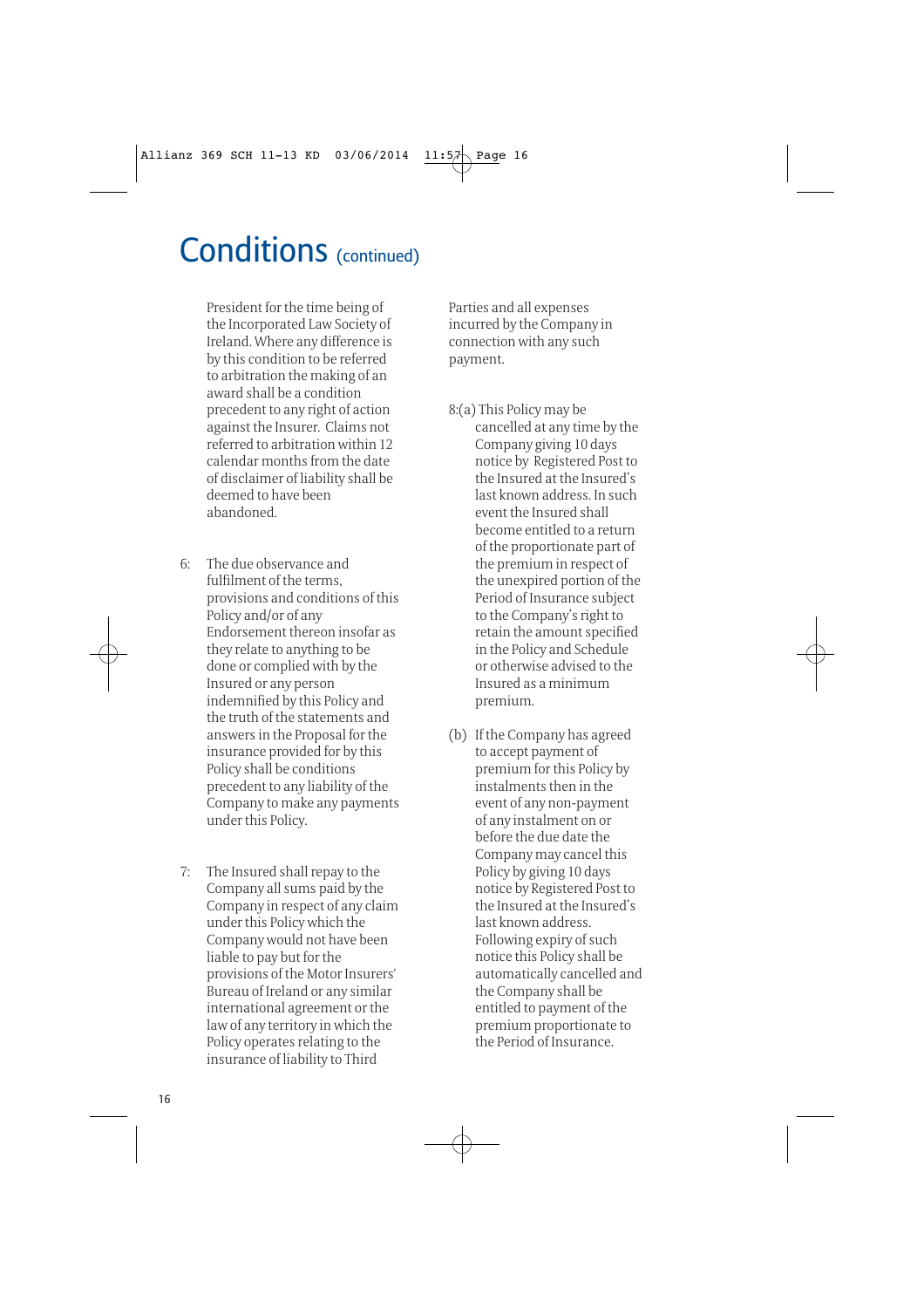# Conditions (continued)

President for the time being of the Incorporated Law Society of Ireland. Where any difference is by this condition to be referred to arbitration the making of an award shall be a condition precedent to any right of action against the Insurer. Claims not referred to arbitration within 12 calendar months from the date of disclaimer of liability shall be deemed to have been abandoned.

- 6: The due observance and fulfilment of the terms, provisions and conditions of this Policy and/or of any Endorsement thereon insofar as they relate to anything to be done or complied with by the Insured or any person indemnified by this Policy and the truth of the statements and answers in the Proposal for the insurance provided for by this Policy shall be conditions precedent to any liability of the Company to make any payments under this Policy.
- 7: The Insured shall repay to the Company all sums paid by the Company in respect of any claim under this Policy which the Company would not have been liable to pay but for the provisions of the Motor Insurers' Bureau of Ireland or any similar international agreement or the law of any territory in which the Policy operates relating to the insurance of liability to Third

Parties and all expenses incurred by the Company in connection with any such payment.

- 8:(a) This Policy may be cancelled at any time by the Company giving 10 days notice by Registered Post to the Insured at the Insured's last known address. In such event the Insured shall become entitled to a return of the proportionate part of the premium in respect of the unexpired portion of the Period of Insurance subject to the Company's right to retain the amount specified in the Policy and Schedule or otherwise advised to the Insured as a minimum premium.
- (b) If the Company has agreed to accept payment of premium for this Policy by instalments then in the event of any non-payment of any instalment on or before the due date the Company may cancel this Policy by giving 10 days notice by Registered Post to the Insured at the Insured's last known address. Following expiry of such notice this Policy shall be automatically cancelled and the Company shall be entitled to payment of the premium proportionate to the Period of Insurance.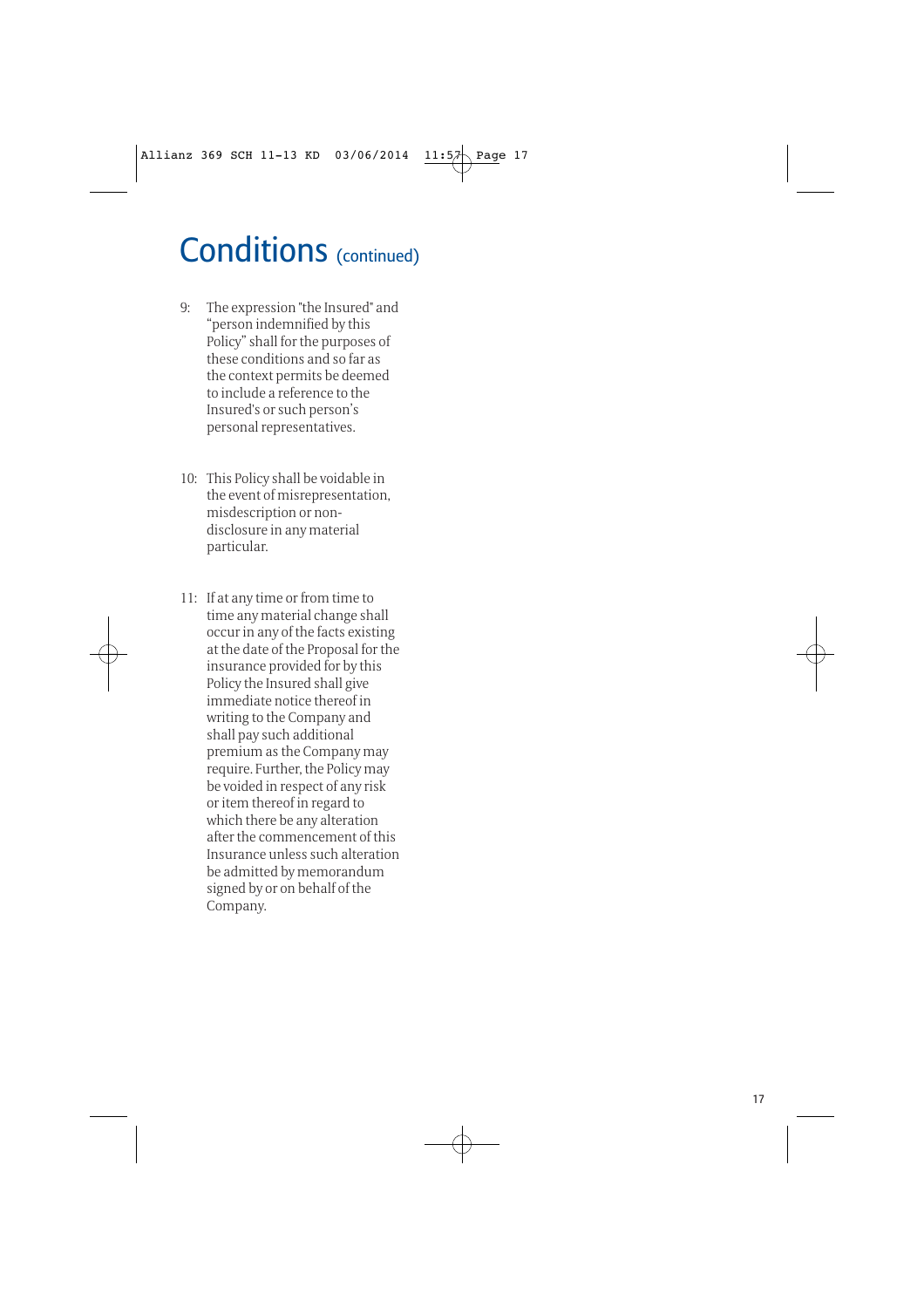# Conditions (continued)

- 9: The expression "the Insured" and "person indemnified by this Policy" shall for the purposes of these conditions and so far as the context permits be deemed to include a reference to the Insured's or such person's personal representatives.
- 10: This Policy shall be voidable in the event of misrepresentation, misdescription or nondisclosure in any material particular.
- 11: If at any time or from time to time any material change shall occur in any of the facts existing at the date of the Proposal for the insurance provided for by this Policy the Insured shall give immediate notice thereof in writing to the Company and shall pay such additional premium as the Company may require. Further, the Policy may be voided in respect of any risk or item thereof in regard to which there be any alteration after the commencement of this Insurance unless such alteration be admitted by memorandum signed by or on behalf of the Company.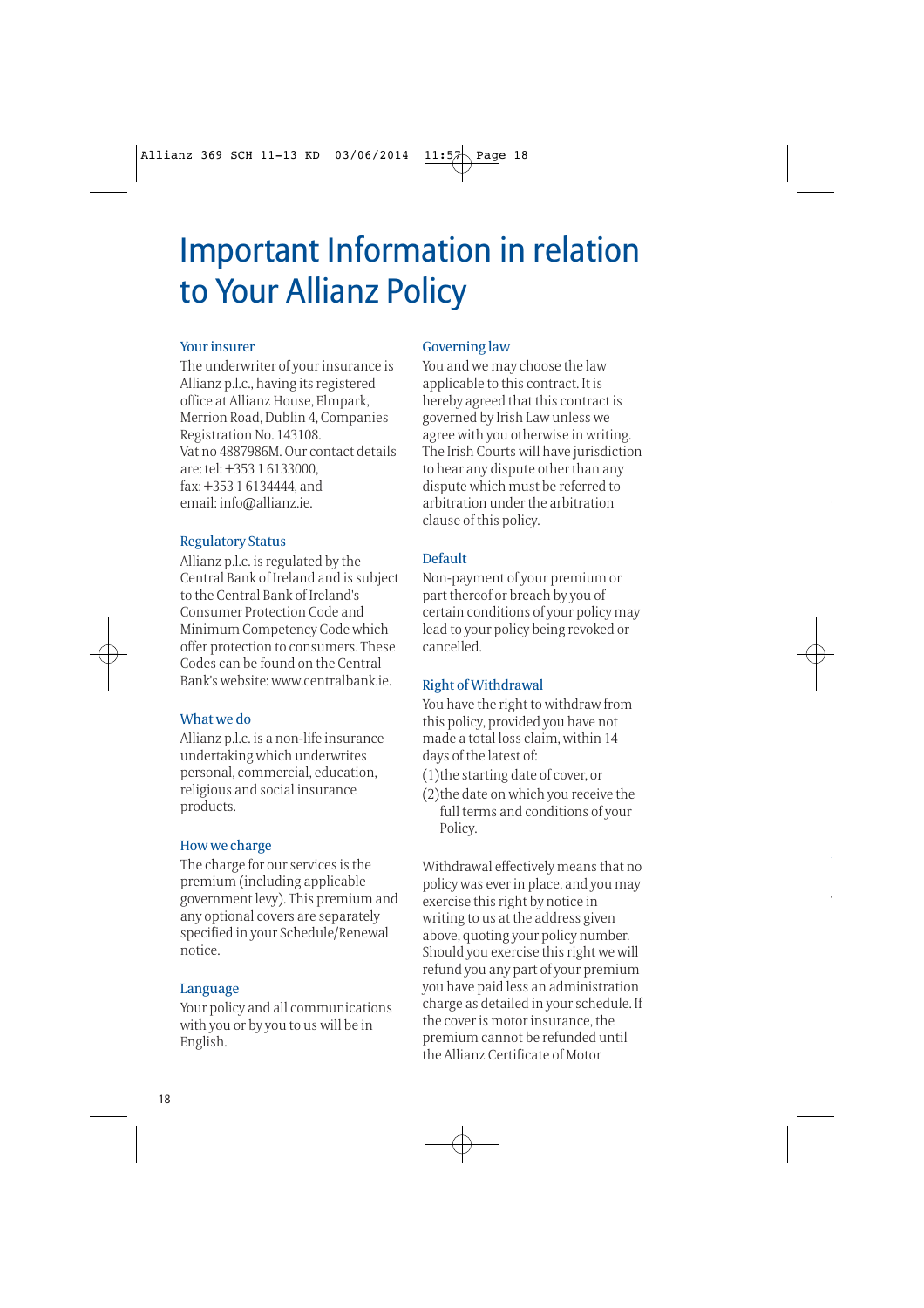# Important Information in relation to Your Allianz Policy

#### Your insurer

The underwriter of your insurance is Allianz p.l.c., having its registered office at Allianz House, Elmpark, Merrion Road, Dublin 4, Companies Registration No. 143108. Vat no 4887986M. Our contact details are: tel: +353 1 6133000, fax: +353 1 6134444, and email: info@allianz.ie.

#### Regulatory Status

Allianz p.l.c. is regulated by the Central Bank of Ireland and is subject to the Central Bank of Ireland's Consumer Protection Code and Minimum Competency Code which offer protection to consumers. These Codes can be found on the Central Bank's website: www.centralbank.ie.

#### What we do

Allianz p.l.c. is a non-life insurance undertaking which underwrites personal, commercial, education, religious and social insurance products.

#### How we charge

The charge for our services is the premium (including applicable government levy). This premium and any optional covers are separately specified in your Schedule/Renewal notice.

#### Language

Your policy and all communications with you or by you to us will be in English.

#### Governing law

You and we may choose the law applicable to this contract. It is hereby agreed that this contract is governed by Irish Law unless we agree with you otherwise in writing. The Irish Courts will have jurisdiction to hear any dispute other than any dispute which must be referred to arbitration under the arbitration clause of this policy.

#### Default

Non-payment of your premium or part thereof or breach by you of certain conditions of your policy may lead to your policy being revoked or cancelled.

#### Right of Withdrawal

You have the right to withdraw from this policy, provided you have not made a total loss claim, within 14 days of the latest of:

- (1)the starting date of cover, or
- (2)the date on which you receive the full terms and conditions of your Policy.

Withdrawal effectively means that no policy was ever in place, and you may exercise this right by notice in writing to us at the address given above, quoting your policy number. Should you exercise this right we will refund you any part of your premium you have paid less an administration charge as detailed in your schedule. If the cover is motor insurance, the premium cannot be refunded until the Allianz Certificate of Motor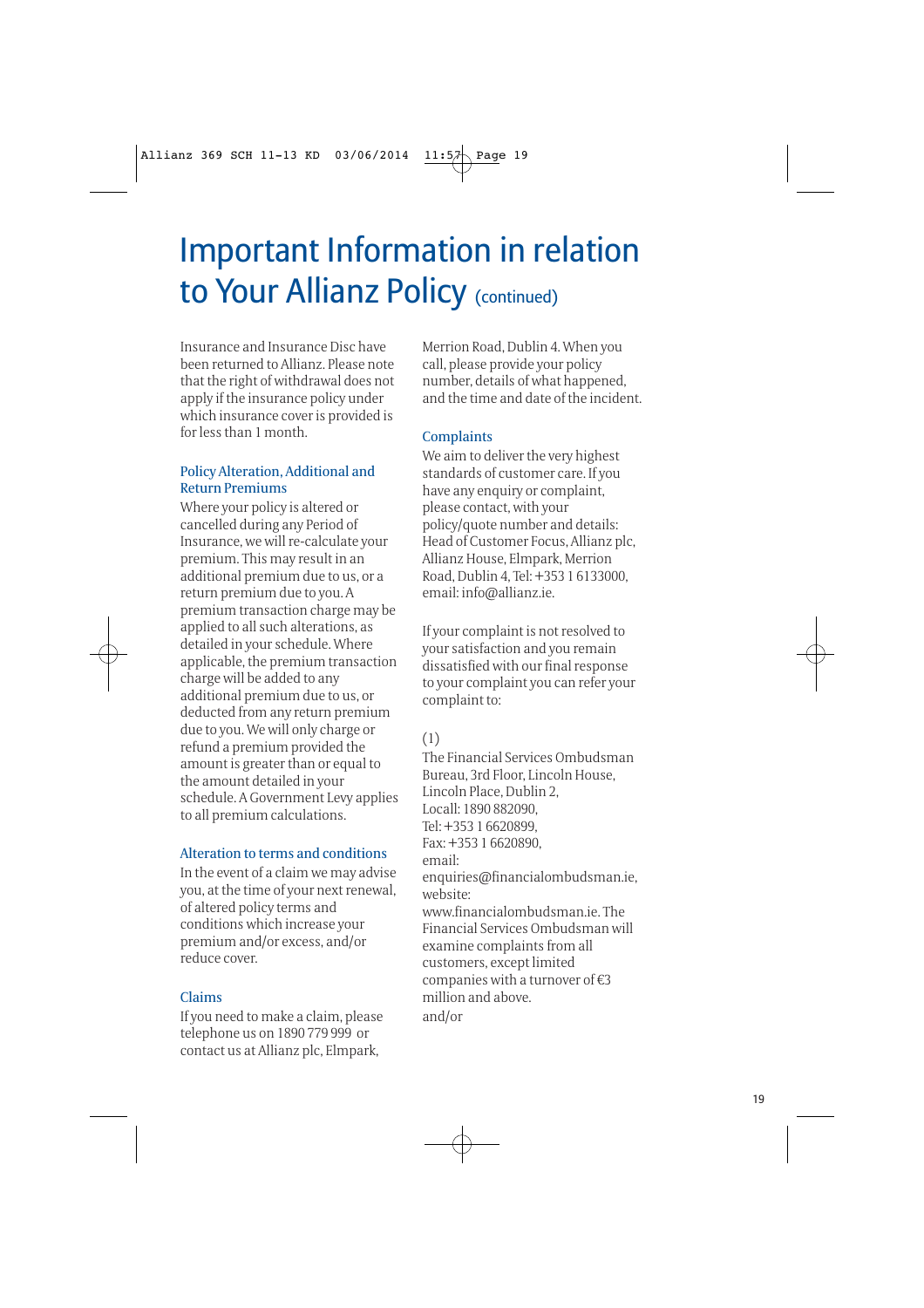# Important Information in relation to Your Allianz Policy (continued)

Insurance and Insurance Disc have been returned to Allianz. Please note that the right of withdrawal does not apply if the insurance policy under which insurance cover is provided is for less than 1 month.

#### Policy Alteration, Additional and Return Premiums

Where your policy is altered or cancelled during any Period of Insurance, we will re-calculate your premium. This may result in an additional premium due to us, or a return premium due to you. A premium transaction charge may be applied to all such alterations, as detailed in your schedule. Where applicable, the premium transaction charge will be added to any additional premium due to us, or deducted from any return premium due to you. We will only charge or refund a premium provided the amount is greater than or equal to the amount detailed in your schedule. A Government Levy applies to all premium calculations.

### Alteration to terms and conditions

In the event of a claim we may advise you, at the time of your next renewal, of altered policy terms and conditions which increase your premium and/or excess, and/or reduce cover.

### Claims

If you need to make a claim, please telephone us on 1890 779 999 or contact us at Allianz plc, Elmpark,

Merrion Road, Dublin 4. When you call, please provide your policy number, details of what happened, and the time and date of the incident.

### **Complaints**

We aim to deliver the very highest standards of customer care. If you have any enquiry or complaint, please contact, with your policy/quote number and details: Head of Customer Focus, Allianz plc, Allianz House, Elmpark, Merrion Road, Dublin 4, Tel: +353 1 6133000, email: info@allianz.ie.

If your complaint is not resolved to your satisfaction and you remain dissatisfied with our final response to your complaint you can refer your complaint to:

### (1)

The Financial Services Ombudsman Bureau, 3rd Floor, Lincoln House, Lincoln Place, Dublin 2, Locall: 1890 882090, Tel: +353 1 6620899, Fax: +353 1 6620890, email: enquiries@financialombudsman.ie, website: www.financialombudsman.ie. The Financial Services Ombudsman will examine complaints from all customers, except limited companies with a turnover of €3 million and above. and/or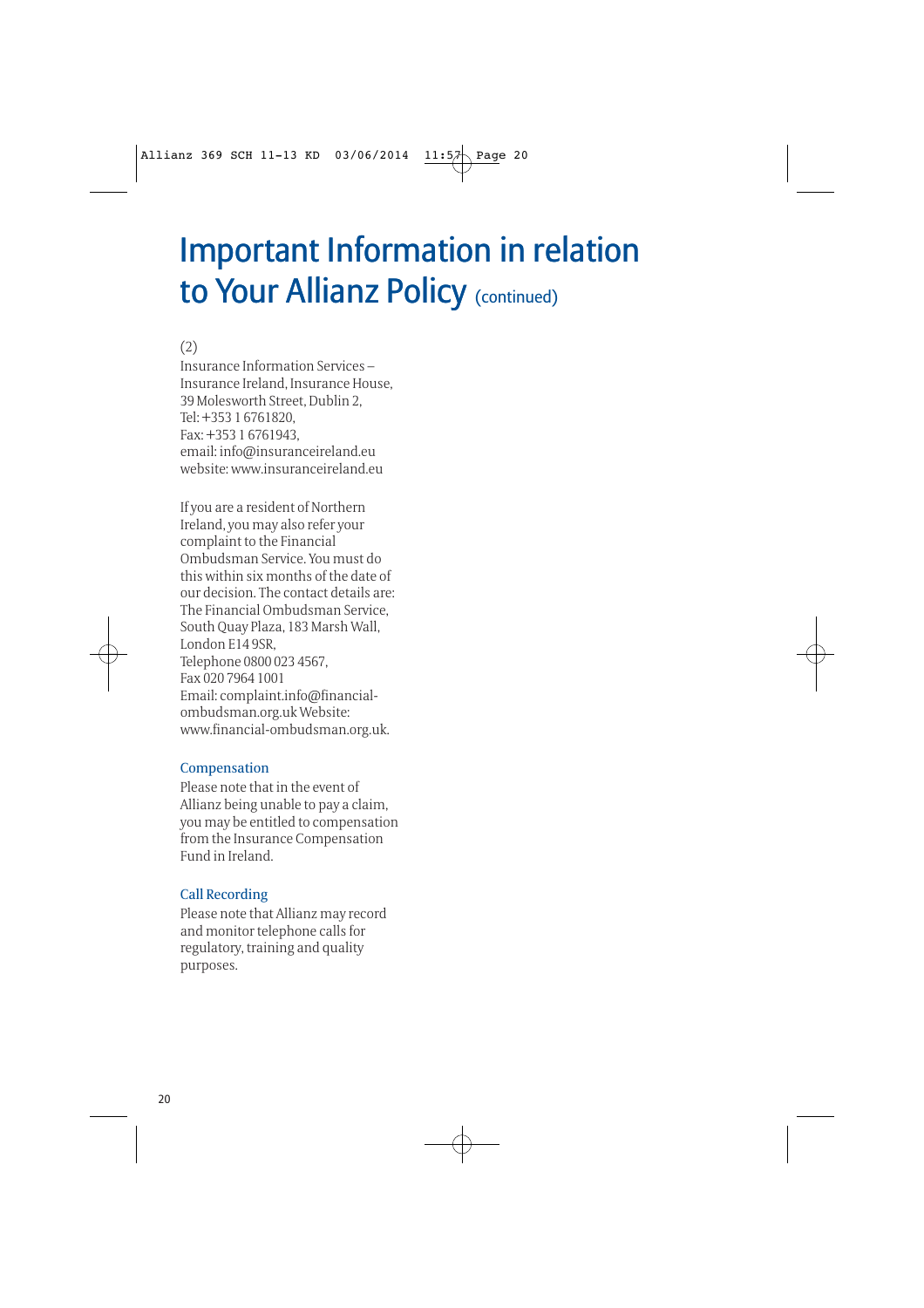# Important Information in relation to Your Allianz Policy (continued)

(2)

Insurance Information Services – Insurance Ireland, Insurance House, 39 Molesworth Street, Dublin 2, Tel: +353 1 6761820, Fax: +353 1 6761943, email: info@insuranceireland.eu website: www.insuranceireland.eu

If you are a resident of Northern Ireland, you may also refer your complaint to the Financial Ombudsman Service. You must do this within six months of the date of our decision. The contact details are: The Financial Ombudsman Service, South Quay Plaza, 183 Marsh Wall, London E14 9SR, Telephone 0800 023 4567, Fax 020 7964 1001 Email: complaint.info@financialombudsman.org.uk Website: www.financial-ombudsman.org.uk.

#### Compensation

Please note that in the event of Allianz being unable to pay a claim, you may be entitled to compensation from the Insurance Compensation Fund in Ireland.

### Call Recording

Please note that Allianz may record and monitor telephone calls for regulatory, training and quality purposes.